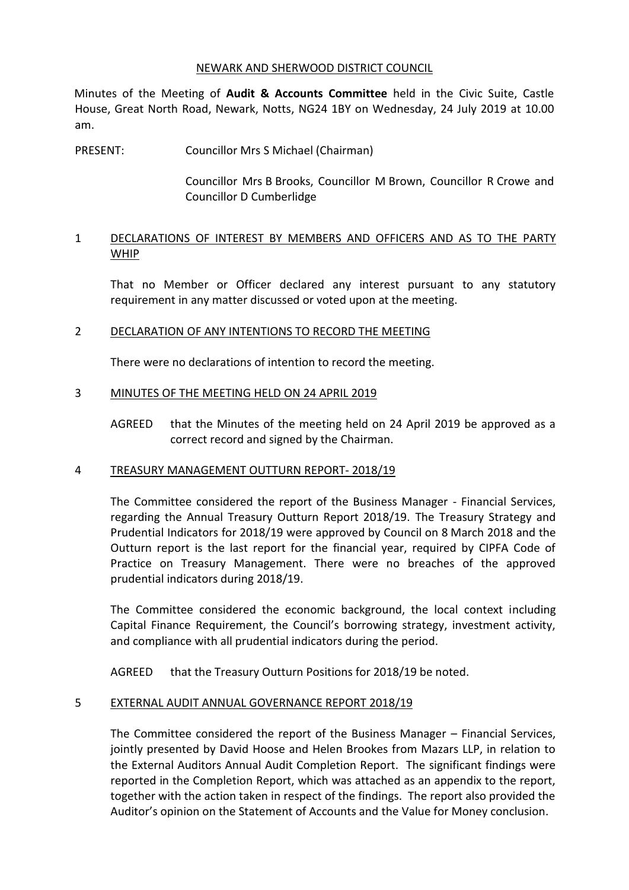#### NEWARK AND SHERWOOD DISTRICT COUNCIL

Minutes of the Meeting of **Audit & Accounts Committee** held in the Civic Suite, Castle House, Great North Road, Newark, Notts, NG24 1BY on Wednesday, 24 July 2019 at 10.00 am.

PRESENT: Councillor Mrs S Michael (Chairman)

Councillor Mrs B Brooks, Councillor M Brown, Councillor R Crowe and Councillor D Cumberlidge

## 1 DECLARATIONS OF INTEREST BY MEMBERS AND OFFICERS AND AS TO THE PARTY **WHIP**

That no Member or Officer declared any interest pursuant to any statutory requirement in any matter discussed or voted upon at the meeting.

## 2 DECLARATION OF ANY INTENTIONS TO RECORD THE MEETING

There were no declarations of intention to record the meeting.

## 3 MINUTES OF THE MEETING HELD ON 24 APRIL 2019

AGREED that the Minutes of the meeting held on 24 April 2019 be approved as a correct record and signed by the Chairman.

### 4 TREASURY MANAGEMENT OUTTURN REPORT- 2018/19

The Committee considered the report of the Business Manager - Financial Services, regarding the Annual Treasury Outturn Report 2018/19. The Treasury Strategy and Prudential Indicators for 2018/19 were approved by Council on 8 March 2018 and the Outturn report is the last report for the financial year, required by CIPFA Code of Practice on Treasury Management. There were no breaches of the approved prudential indicators during 2018/19.

The Committee considered the economic background, the local context including Capital Finance Requirement, the Council's borrowing strategy, investment activity, and compliance with all prudential indicators during the period.

AGREED that the Treasury Outturn Positions for 2018/19 be noted.

# 5 EXTERNAL AUDIT ANNUAL GOVERNANCE REPORT 2018/19

The Committee considered the report of the Business Manager – Financial Services, jointly presented by David Hoose and Helen Brookes from Mazars LLP, in relation to the External Auditors Annual Audit Completion Report. The significant findings were reported in the Completion Report, which was attached as an appendix to the report, together with the action taken in respect of the findings. The report also provided the Auditor's opinion on the Statement of Accounts and the Value for Money conclusion.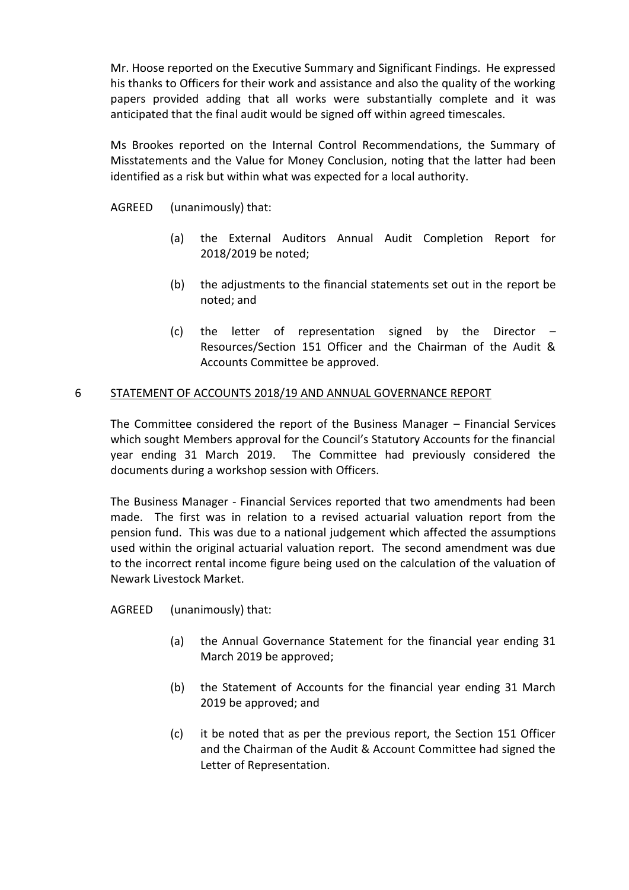Mr. Hoose reported on the Executive Summary and Significant Findings. He expressed his thanks to Officers for their work and assistance and also the quality of the working papers provided adding that all works were substantially complete and it was anticipated that the final audit would be signed off within agreed timescales.

Ms Brookes reported on the Internal Control Recommendations, the Summary of Misstatements and the Value for Money Conclusion, noting that the latter had been identified as a risk but within what was expected for a local authority.

AGREED (unanimously) that:

- (a) the External Auditors Annual Audit Completion Report for 2018/2019 be noted;
- (b) the adjustments to the financial statements set out in the report be noted; and
- (c) the letter of representation signed by the Director Resources/Section 151 Officer and the Chairman of the Audit & Accounts Committee be approved.

# 6 STATEMENT OF ACCOUNTS 2018/19 AND ANNUAL GOVERNANCE REPORT

The Committee considered the report of the Business Manager – Financial Services which sought Members approval for the Council's Statutory Accounts for the financial year ending 31 March 2019. The Committee had previously considered the documents during a workshop session with Officers.

The Business Manager - Financial Services reported that two amendments had been made. The first was in relation to a revised actuarial valuation report from the pension fund. This was due to a national judgement which affected the assumptions used within the original actuarial valuation report. The second amendment was due to the incorrect rental income figure being used on the calculation of the valuation of Newark Livestock Market.

AGREED (unanimously) that:

- (a) the Annual Governance Statement for the financial year ending 31 March 2019 be approved;
- (b) the Statement of Accounts for the financial year ending 31 March 2019 be approved; and
- (c) it be noted that as per the previous report, the Section 151 Officer and the Chairman of the Audit & Account Committee had signed the Letter of Representation.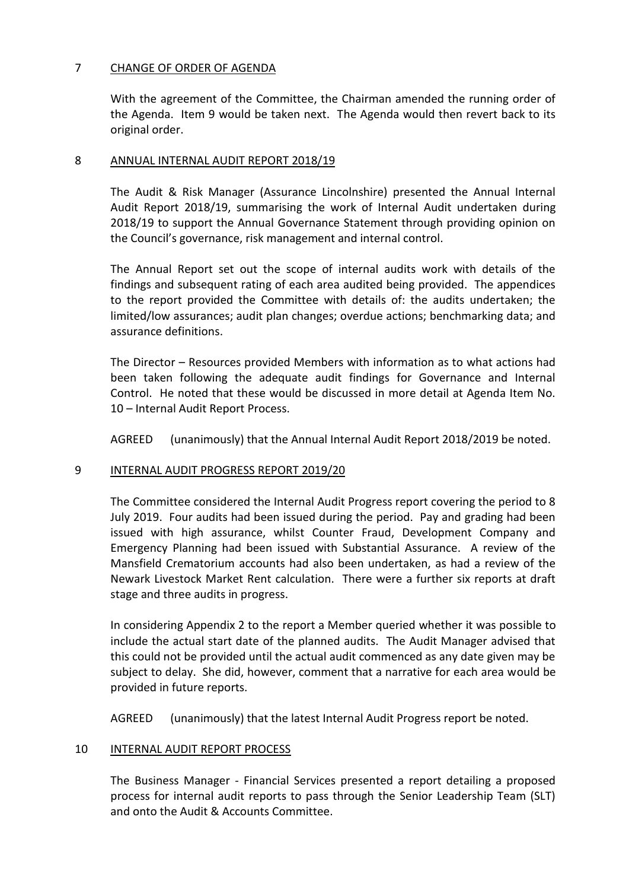## 7 CHANGE OF ORDER OF AGENDA

With the agreement of the Committee, the Chairman amended the running order of the Agenda. Item 9 would be taken next. The Agenda would then revert back to its original order.

### 8 ANNUAL INTERNAL AUDIT REPORT 2018/19

The Audit & Risk Manager (Assurance Lincolnshire) presented the Annual Internal Audit Report 2018/19, summarising the work of Internal Audit undertaken during 2018/19 to support the Annual Governance Statement through providing opinion on the Council's governance, risk management and internal control.

The Annual Report set out the scope of internal audits work with details of the findings and subsequent rating of each area audited being provided. The appendices to the report provided the Committee with details of: the audits undertaken; the limited/low assurances; audit plan changes; overdue actions; benchmarking data; and assurance definitions.

The Director – Resources provided Members with information as to what actions had been taken following the adequate audit findings for Governance and Internal Control. He noted that these would be discussed in more detail at Agenda Item No. 10 – Internal Audit Report Process.

AGREED (unanimously) that the Annual Internal Audit Report 2018/2019 be noted.

### 9 INTERNAL AUDIT PROGRESS REPORT 2019/20

The Committee considered the Internal Audit Progress report covering the period to 8 July 2019. Four audits had been issued during the period. Pay and grading had been issued with high assurance, whilst Counter Fraud, Development Company and Emergency Planning had been issued with Substantial Assurance. A review of the Mansfield Crematorium accounts had also been undertaken, as had a review of the Newark Livestock Market Rent calculation. There were a further six reports at draft stage and three audits in progress.

In considering Appendix 2 to the report a Member queried whether it was possible to include the actual start date of the planned audits. The Audit Manager advised that this could not be provided until the actual audit commenced as any date given may be subject to delay. She did, however, comment that a narrative for each area would be provided in future reports.

AGREED (unanimously) that the latest Internal Audit Progress report be noted.

### 10 INTERNAL AUDIT REPORT PROCESS

The Business Manager - Financial Services presented a report detailing a proposed process for internal audit reports to pass through the Senior Leadership Team (SLT) and onto the Audit & Accounts Committee.